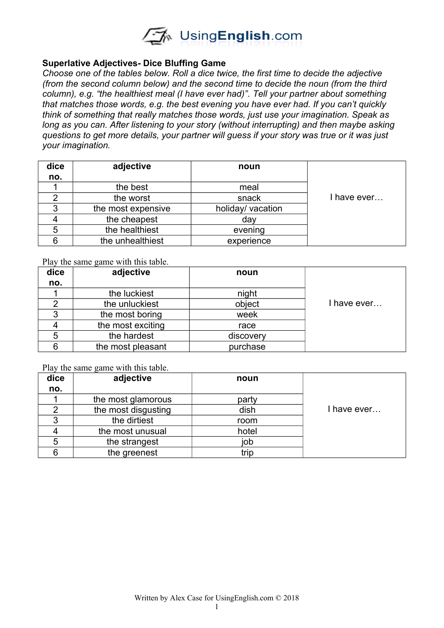

## **Superlative Adjectives- Dice Bluffing Game**

*Choose one of the tables below. Roll a dice twice, the first time to decide the adjective (from the second column below) and the second time to decide the noun (from the third column), e.g. "the healthiest meal (I have ever had)". Tell your partner about something that matches those words, e.g. the best evening you have ever had. If you can't quickly think of something that really matches those words, just use your imagination. Speak as long as you can. After listening to your story (without interrupting) and then maybe asking questions to get more details, your partner will guess if your story was true or it was just your imagination.* 

| dice | adjective          | noun              |             |
|------|--------------------|-------------------|-------------|
| no.  |                    |                   |             |
|      | the best           | meal              |             |
|      | the worst          | snack             | I have ever |
| ≏    | the most expensive | holiday/ vacation |             |
|      | the cheapest       | day               |             |
|      | the healthiest     | evening           |             |
|      | the unhealthiest   | experience        |             |

Play the same game with this table.

| dice | adjective         | noun      |             |
|------|-------------------|-----------|-------------|
| no.  |                   |           |             |
|      | the luckiest      | night     |             |
| ⌒    | the unluckiest    | object    | I have ever |
| ◠    | the most boring   | week      |             |
|      | the most exciting | race      |             |
| 5    | the hardest       | discovery |             |
| 6    | the most pleasant | purchase  |             |

Play the same game with this table.

| dice | adjective           | noun  |             |
|------|---------------------|-------|-------------|
| no.  |                     |       |             |
|      | the most glamorous  | party |             |
|      | the most disgusting | dish  | I have ever |
| ິ    | the dirtiest        | room  |             |
|      | the most unusual    | hotel |             |
| 5    | the strangest       | iob   |             |
| հ    | the greenest        | trip  |             |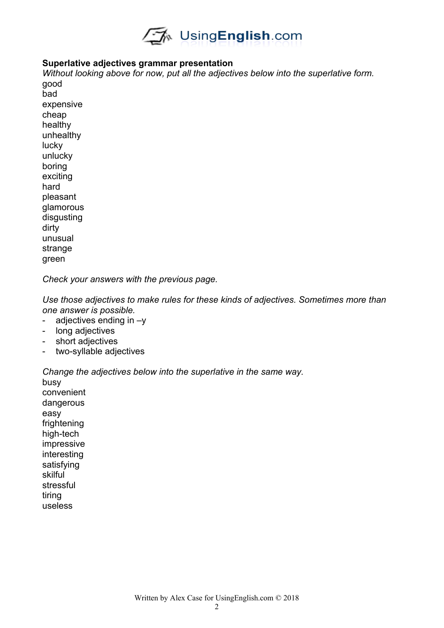

## **Superlative adjectives grammar presentation**

*Without looking above for now, put all the adjectives below into the superlative form.*  good bad expensive cheap healthy unhealthy lucky unlucky boring exciting hard pleasant glamorous disgusting dirty unusual

green *Check your answers with the previous page.*

*Use those adjectives to make rules for these kinds of adjectives. Sometimes more than one answer is possible.* 

- adjectives ending in  $-y$
- long adjectives

strange

- short adjectives
- two-syllable adjectives

*Change the adjectives below into the superlative in the same way.* 

busy convenient dangerous easy frightening high-tech impressive interesting satisfying skilful stressful tiring useless